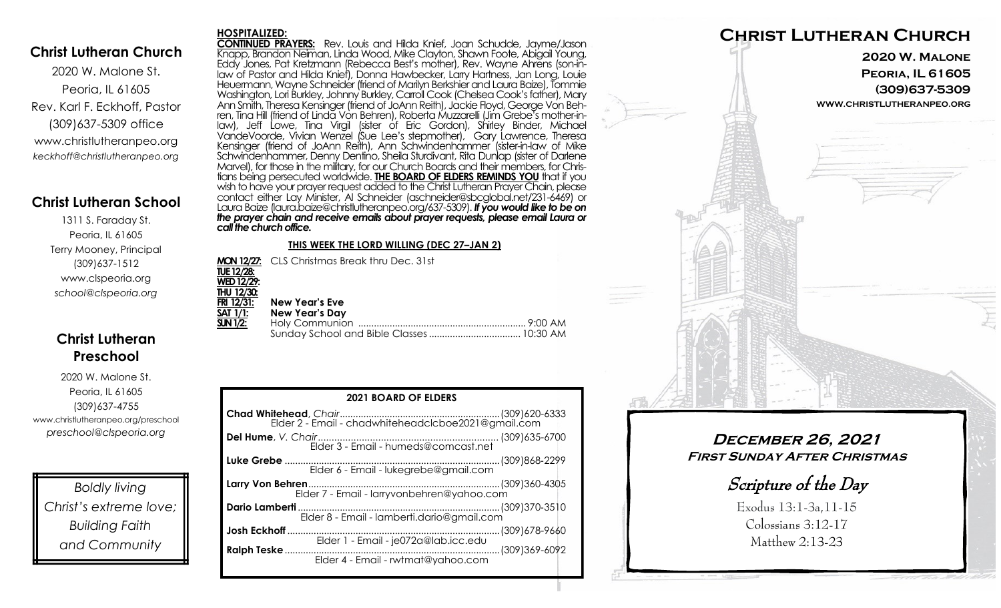## **Christ Lutheran Church**

2020 W. Malone St. Peoria, IL 61605 Rev. Karl F. Eckhoff, Pastor (309)637-5309 office www.christlutheranpeo.org *keckhoff@christlutheranpeo.org*

## **Christ Lutheran School**

1311 S. Faraday St. Peoria, IL 61605 Terry Mooney, Principal (309)637-1512 www.clspeoria.org *school@clspeoria.org*

# **Christ Lutheran Preschool**

2020 W. Malone St. Peoria, IL 61605 (309)637-4755 www.christlutheranpeo.org/preschool *preschool@clspeoria.org*

*Boldly living Christ's extreme love; Building Faith and Community*

#### **HOSPITALIZED:**

**CONTINUED PRAYERS:** Rev. Louis and Hilda Knief, Joan Schudde, Jayme/Jason Knapp, Brandon Neiman, Linda Wood, Mike Clayton, Shawn Foote, Abigail Young, Eddy Jones, Pat Kretzmann (Rebecca Best's mother), Rev. Wayne Ahrens (son-inlaw of Pastor and Hilda Knief), Donna Hawbecker, Larry Hartness, Jan Long, Louie Heuermann, Wayne Schneider (friend of Marilyn Berkshier and Laura Baize), Tommie Washington, Lori Burkley, Johnny Burkley, Carroll Cook (Chelsea Cook's father), Mary Ann Smith, Theresa Kensinger (friend of JoAnn Reith), Jackie Floyd, George Von Behren, Tina Hill (friend of Linda Von Behren), Roberta Muzzarelli (Jim Grebe's mother-inlaw), Jeff Lowe, Tina Virgil (sister of Eric Gordon), Shirley Binder, Michael VandeVoorde, Vivian Wenzel (Sue Lee's stepmother), Gary Lawrence, Theresa Kensinger (friend of JoAnn Reith), Ann Schwindenhammer (sister-in-law of Mike Schwindenhammer, Denny Dentino, Sheila Sturdivant, Rita Dunlap (sister of Darlene Marvel), for those in the military, for our Church Boards and their members, for Christians being persecuted worldwide. **THE BOARD OF ELDERS REMINDS YOU** that if you wish to have your prayer request added to the Christ Lutheran Prayer Chain, please contact either Lay Minister, Al Schneider (aschneider@sbcglobal.net/231-6469) or Laura Baize (laura.baize@christlutheranpeo.org/637-5309). *If you would like to be on the prayer chain and receive emails about prayer requests, please email Laura or call the church office.*

#### **THIS WEEK THE LORD WILLING (DEC 27–JAN 2)**

**MON 12/27:** CLS Christmas Break thru Dec. 31st **TUE 12/28: WED 12/29: THU 12/30: FRI 12/31: New Year's Eve SAT 1/1: New Year's Day SUN 1/2:** Holy Communion ................................................................ 9:00 AM Sunday School and Bible Classes................................... 10:30 AM

| <b>2021 BOARD OF ELDERS</b>                               |  |
|-----------------------------------------------------------|--|
|                                                           |  |
|                                                           |  |
|                                                           |  |
| Elder 7 - Email - larryvonbehren@yahoo.com                |  |
| Elder 8 - Email - lamberti.dario@gmail.com                |  |
| Josh Eckhoff                                              |  |
| <b>Ralph Teske </b><br>Elder 4 - Email - rwtmat@yahoo.com |  |



**December 26, 2021 First Sunday After Christmas**

Scripture of the Day

Exodus 13:1-3a,11-15 Colossians 3:12-17 Matthew 2:13-23